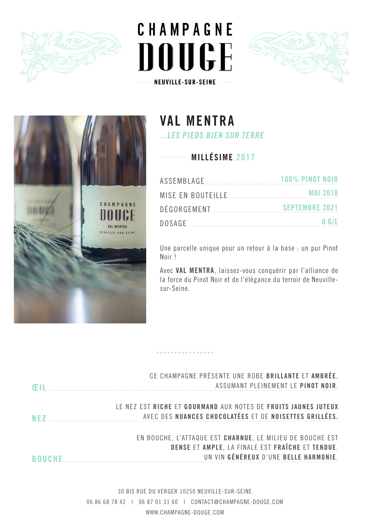







## **VAL MENTRA ...LES PIEDS BIEN SUR TERRE**

## **MILLÉSIME 2017**

| ASSEMBLAGE | 100% PINOT NOIR |
|------------|-----------------|
|            |                 |
|            |                 |
| DOSAGE     | 0.6/L           |

Une parcelle unique pour un retour à la base : un pur Pinot Noir !

Avec **VAL MENTRA**, laissez-vous conquérir par l'alliance de la force du Pinot Noir et de l'élégance du terroir de Neuvillesur-Seine.

|               | CE CHAMPAGNE PRÉSENTE UNE ROBE BRILLANTE ET AMBRÉE,<br>ASSUMANT PLEINEMENT LE PINOT NOIR.                                                              |
|---------------|--------------------------------------------------------------------------------------------------------------------------------------------------------|
| <b>NF7</b>    | LE NEZ EST RICHE ET GOURMAND AUX NOTES DE FRUITS JAUNES JUTEUX<br>AVEC DES NUANCES CHOCOLATÉES ET DE NOISETTES GRILLÉES.                               |
| <b>ROUCHE</b> | EN BOUCHE, L'ATTAQUE EST CHARNUE, LE MILIEU DE BOUCHE EST<br>DENSE ET AMPLE, LA FINALE EST FRAÎCHE ET TENDUE.<br>UN VIN GÉNÉREUX D'UNE BELLE HARMONIE. |

. . . . . . . . . . . . . .

30 BIS RUE DU VERGER 10250 NEUVILLE-SUR-SEINE 06 86 68 78 42 | 06 87 01 31 60 | CONTACT@CHAMPAGNE-DOUGE.COM WWW.CHAMPAGNE-DOUGE.COM